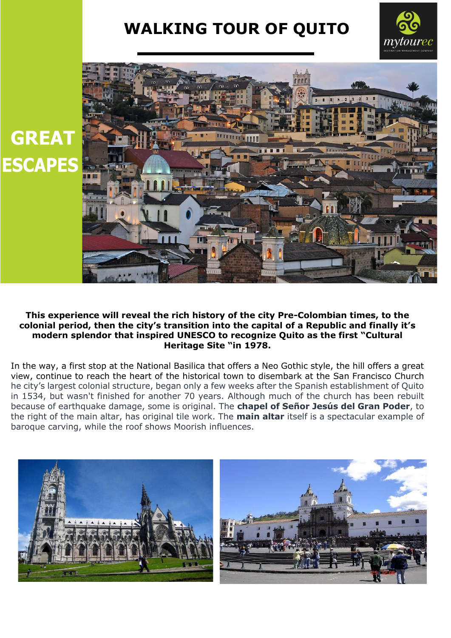## **WALKING TOUR OF QUITO**





## **This experience will reveal the rich history of the city Pre-Colombian times, to the colonial period, then the city's transition into the capital of a Republic and finally it's modern splendor that inspired UNESCO to recognize Quito as the first "Cultural Heritage Site "in 1978.**

In the way, a first stop at the National Basilica that offers a Neo Gothic style, the hill offers a great view, continue to reach the heart of the historical town to disembark at the San Francisco Church he city's largest colonial structure, began only a few weeks after the Spanish establishment of Quito in 1534, but wasn't finished for another 70 years. Although much of the church has been rebuilt because of earthquake damage, some is original. The **chapel of Señor Jesús del Gran Poder**, to the right of the main altar, has original tile work. The **main altar** itself is a spectacular example of baroque carving, while the roof shows Moorish influences.